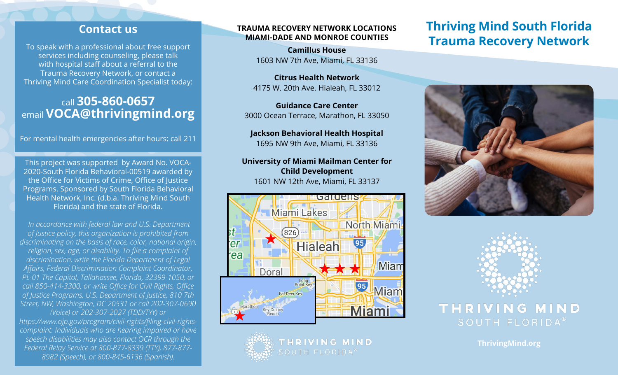### **Contact us**

To speak with a professional about free support services including counseling, please talk with hospital staff about a referral to the Trauma Recovery Network, or contact a Thriving Mind Care Coordination Specialist today:

### call **305-860-0657** email **VOCA@thrivingmind.org**

For mental health emergencies after hours**:** call 211

This project was supported by Award No. VOCA-2020-South Florida Behavioral-00519 awarded by the Office for Victims of Crime, Office of Justice Programs. Sponsored by South Florida Behavioral Health Network, Inc. (d.b.a. Thriving Mind South Florida) and the state of Florida.

 *In accordance with federal law and U.S. Department of Justice policy, this organization is prohibited from discriminating on the basis of race, color, national origin, religion, sex, age, or disability. To file a complaint of discrimination, write the Florida Department of Legal Affairs, Federal Discrimination Complaint Coordinator, PL-01 The Capitol, Tallahassee, Florida, 32399-1050, or call 850-414-3300, or write Office for Civil Rights, Office of Justice Programs, U.S. Department of Justice, 810 7th Street, NW, Washington, DC 20531 or call 202-307-0690 (Voice) or 202-307-2027 (TDD/TYY) or https://www.ojp.gov/program/civil-rights/filing-civil-rightscomplaint. Individuals who are hearing impaired or have speech disabilities may also contact OCR through the Federal Relay Service at 800-877-8339 (TTY), 877-877- 8982 (Speech), or 800-845-6136 (Spanish).* 

#### **TRAUMA RECOVERY NETWORK LOCATIONS MIAMI-DADE AND MONROE COUNTIES**

**Camillus House** 1603 NW 7th Ave, Miami, FL 33136

**Citrus Health Network** 4175 W. 20th Ave. Hialeah, FL 33012

**Guidance Care Center**  3000 Ocean Terrace, Marathon, FL 33050

**Jackson Behavioral Health Hospital** 1695 NW 9th Ave, Miami, FL 33136

**University of Miami Mailman Center for Child Development** 1601 NW 12th Ave, Miami, FL 33137



THRIVING MIND SOUTH FLORIDA<sup>®</sup>

## **Thriving Mind South Florida Trauma Recovery Network**





THRIVING MIND SOUTH FLORIDA®

**ThrivingMind.org**